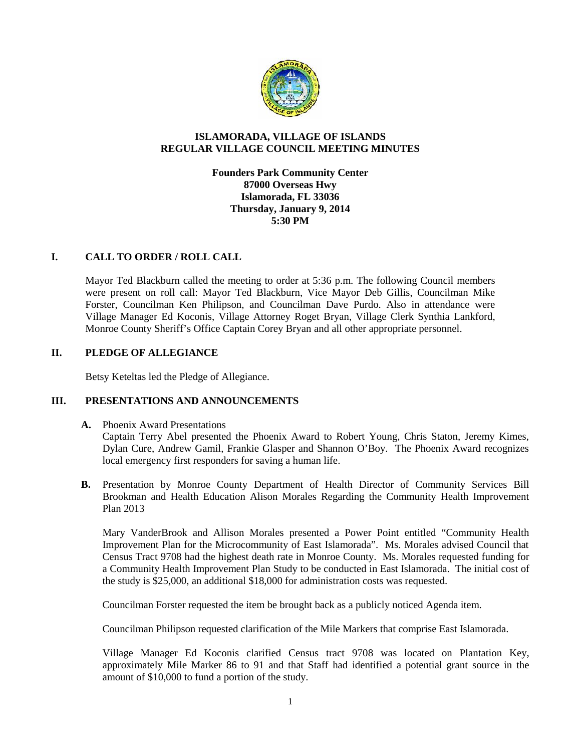

# **ISLAMORADA, VILLAGE OF ISLANDS REGULAR VILLAGE COUNCIL MEETING MINUTES**

**Founders Park Community Center 87000 Overseas Hwy Islamorada, FL 33036 Thursday, January 9, 2014 5:30 PM**

# **I. CALL TO ORDER / ROLL CALL**

Mayor Ted Blackburn called the meeting to order at 5:36 p.m. The following Council members were present on roll call: Mayor Ted Blackburn, Vice Mayor Deb Gillis, Councilman Mike Forster, Councilman Ken Philipson, and Councilman Dave Purdo. Also in attendance were Village Manager Ed Koconis, Village Attorney Roget Bryan, Village Clerk Synthia Lankford, Monroe County Sheriff's Office Captain Corey Bryan and all other appropriate personnel.

# **II. PLEDGE OF ALLEGIANCE**

Betsy Keteltas led the Pledge of Allegiance.

## **III. PRESENTATIONS AND ANNOUNCEMENTS**

#### **A.** Phoenix Award Presentations

Captain Terry Abel presented the Phoenix Award to Robert Young, Chris Staton, Jeremy Kimes, Dylan Cure, Andrew Gamil, Frankie Glasper and Shannon O'Boy. The Phoenix Award recognizes local emergency first responders for saving a human life.

**B.** Presentation by Monroe County Department of Health Director of Community Services Bill Brookman and Health Education Alison Morales Regarding the Community Health Improvement Plan 2013

Mary VanderBrook and Allison Morales presented a Power Point entitled "Community Health Improvement Plan for the Microcommunity of East Islamorada". Ms. Morales advised Council that Census Tract 9708 had the highest death rate in Monroe County. Ms. Morales requested funding for a Community Health Improvement Plan Study to be conducted in East Islamorada. The initial cost of the study is \$25,000, an additional \$18,000 for administration costs was requested.

Councilman Forster requested the item be brought back as a publicly noticed Agenda item.

Councilman Philipson requested clarification of the Mile Markers that comprise East Islamorada.

Village Manager Ed Koconis clarified Census tract 9708 was located on Plantation Key, approximately Mile Marker 86 to 91 and that Staff had identified a potential grant source in the amount of \$10,000 to fund a portion of the study.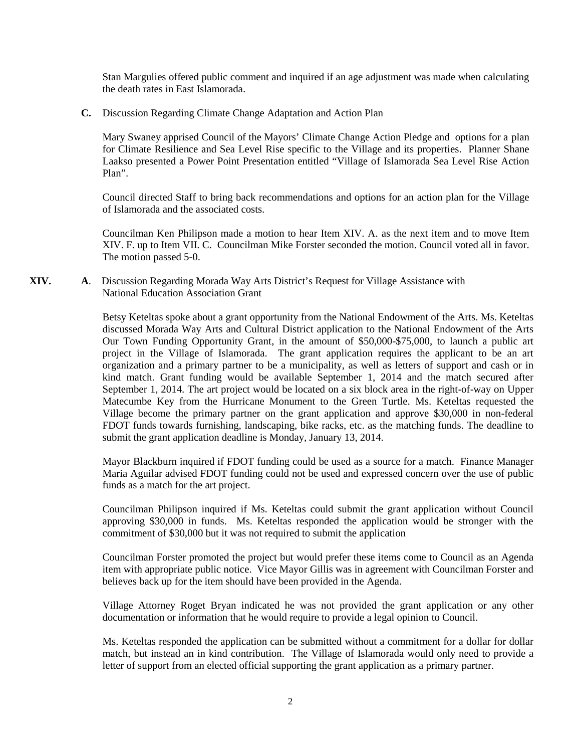Stan Margulies offered public comment and inquired if an age adjustment was made when calculating the death rates in East Islamorada.

**C.** Discussion Regarding Climate Change Adaptation and Action Plan

Mary Swaney apprised Council of the Mayors' Climate Change Action Pledge and options for a plan for Climate Resilience and Sea Level Rise specific to the Village and its properties. Planner Shane Laakso presented a Power Point Presentation entitled "Village of Islamorada Sea Level Rise Action Plan".

Council directed Staff to bring back recommendations and options for an action plan for the Village of Islamorada and the associated costs.

Councilman Ken Philipson made a motion to hear Item XIV. A. as the next item and to move Item XIV. F. up to Item VII. C. Councilman Mike Forster seconded the motion. Council voted all in favor. The motion passed 5-0.

**XIV. A**. Discussion Regarding Morada Way Arts District's Request for Village Assistance with National Education Association Grant

> Betsy Keteltas spoke about a grant opportunity from the National Endowment of the Arts. Ms. Keteltas discussed Morada Way Arts and Cultural District application to the National Endowment of the Arts Our Town Funding Opportunity Grant, in the amount of \$50,000-\$75,000, to launch a public art project in the Village of Islamorada. The grant application requires the applicant to be an art organization and a primary partner to be a municipality, as well as letters of support and cash or in kind match. Grant funding would be available September 1, 2014 and the match secured after September 1, 2014. The art project would be located on a six block area in the right-of-way on Upper Matecumbe Key from the Hurricane Monument to the Green Turtle. Ms. Keteltas requested the Village become the primary partner on the grant application and approve \$30,000 in non-federal FDOT funds towards furnishing, landscaping, bike racks, etc. as the matching funds. The deadline to submit the grant application deadline is Monday, January 13, 2014.

> Mayor Blackburn inquired if FDOT funding could be used as a source for a match. Finance Manager Maria Aguilar advised FDOT funding could not be used and expressed concern over the use of public funds as a match for the art project.

> Councilman Philipson inquired if Ms. Keteltas could submit the grant application without Council approving \$30,000 in funds. Ms. Keteltas responded the application would be stronger with the commitment of \$30,000 but it was not required to submit the application

> Councilman Forster promoted the project but would prefer these items come to Council as an Agenda item with appropriate public notice. Vice Mayor Gillis was in agreement with Councilman Forster and believes back up for the item should have been provided in the Agenda.

> Village Attorney Roget Bryan indicated he was not provided the grant application or any other documentation or information that he would require to provide a legal opinion to Council.

> Ms. Keteltas responded the application can be submitted without a commitment for a dollar for dollar match, but instead an in kind contribution. The Village of Islamorada would only need to provide a letter of support from an elected official supporting the grant application as a primary partner.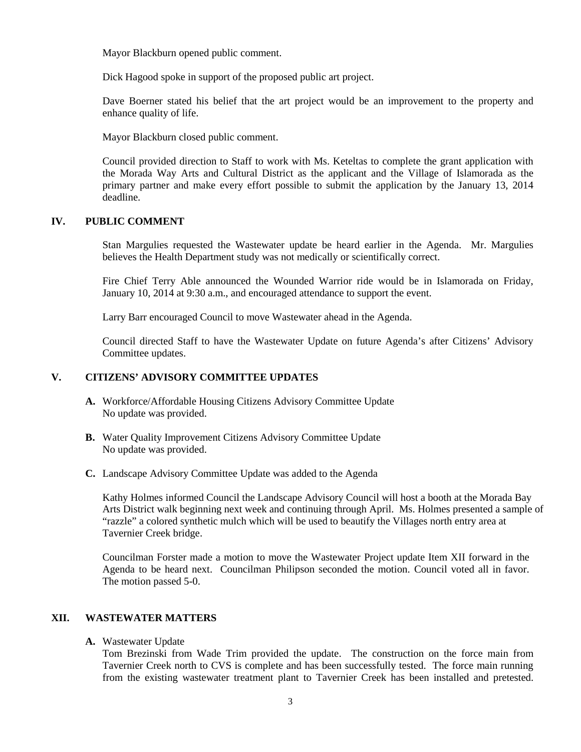Mayor Blackburn opened public comment.

Dick Hagood spoke in support of the proposed public art project.

Dave Boerner stated his belief that the art project would be an improvement to the property and enhance quality of life.

Mayor Blackburn closed public comment.

Council provided direction to Staff to work with Ms. Keteltas to complete the grant application with the Morada Way Arts and Cultural District as the applicant and the Village of Islamorada as the primary partner and make every effort possible to submit the application by the January 13, 2014 deadline.

#### **IV. PUBLIC COMMENT**

Stan Margulies requested the Wastewater update be heard earlier in the Agenda. Mr. Margulies believes the Health Department study was not medically or scientifically correct.

Fire Chief Terry Able announced the Wounded Warrior ride would be in Islamorada on Friday, January 10, 2014 at 9:30 a.m., and encouraged attendance to support the event.

Larry Barr encouraged Council to move Wastewater ahead in the Agenda.

Council directed Staff to have the Wastewater Update on future Agenda's after Citizens' Advisory Committee updates.

## **V. CITIZENS' ADVISORY COMMITTEE UPDATES**

- **A.** Workforce/Affordable Housing Citizens Advisory Committee Update No update was provided.
- **B.** Water Quality Improvement Citizens Advisory Committee Update No update was provided.
- **C.** Landscape Advisory Committee Update was added to the Agenda

Kathy Holmes informed Council the Landscape Advisory Council will host a booth at the Morada Bay Arts District walk beginning next week and continuing through April. Ms. Holmes presented a sample of "razzle" a colored synthetic mulch which will be used to beautify the Villages north entry area at Tavernier Creek bridge.

Councilman Forster made a motion to move the Wastewater Project update Item XII forward in the Agenda to be heard next. Councilman Philipson seconded the motion. Council voted all in favor. The motion passed 5-0.

## **XII. WASTEWATER MATTERS**

**A.** Wastewater Update

Tom Brezinski from Wade Trim provided the update. The construction on the force main from Tavernier Creek north to CVS is complete and has been successfully tested. The force main running from the existing wastewater treatment plant to Tavernier Creek has been installed and pretested.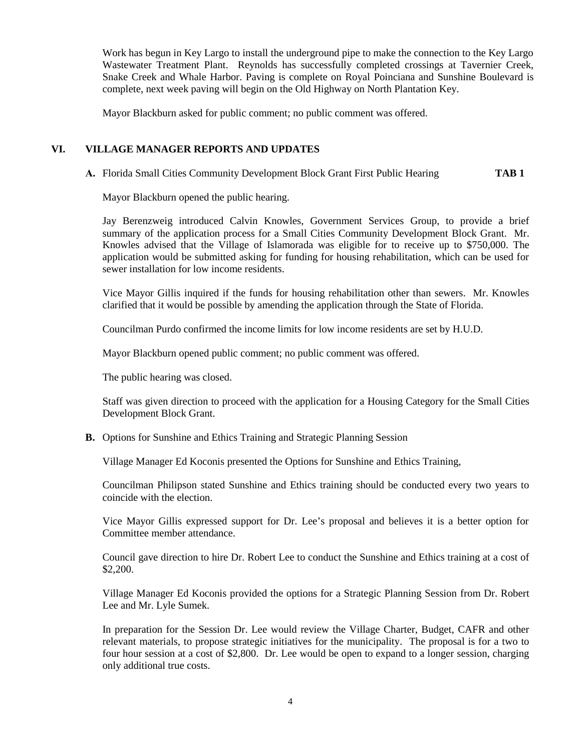Work has begun in Key Largo to install the underground pipe to make the connection to the Key Largo Wastewater Treatment Plant. Reynolds has successfully completed crossings at Tavernier Creek, Snake Creek and Whale Harbor. Paving is complete on Royal Poinciana and Sunshine Boulevard is complete, next week paving will begin on the Old Highway on North Plantation Key.

Mayor Blackburn asked for public comment; no public comment was offered.

## **VI. VILLAGE MANAGER REPORTS AND UPDATES**

**A.** Florida Small Cities Community Development Block Grant First Public Hearing **TAB 1**

Mayor Blackburn opened the public hearing.

Jay Berenzweig introduced Calvin Knowles, Government Services Group, to provide a brief summary of the application process for a Small Cities Community Development Block Grant. Mr. Knowles advised that the Village of Islamorada was eligible for to receive up to \$750,000. The application would be submitted asking for funding for housing rehabilitation, which can be used for sewer installation for low income residents.

Vice Mayor Gillis inquired if the funds for housing rehabilitation other than sewers. Mr. Knowles clarified that it would be possible by amending the application through the State of Florida.

Councilman Purdo confirmed the income limits for low income residents are set by H.U.D.

Mayor Blackburn opened public comment; no public comment was offered.

The public hearing was closed.

Staff was given direction to proceed with the application for a Housing Category for the Small Cities Development Block Grant.

**B.** Options for Sunshine and Ethics Training and Strategic Planning Session

Village Manager Ed Koconis presented the Options for Sunshine and Ethics Training,

Councilman Philipson stated Sunshine and Ethics training should be conducted every two years to coincide with the election.

Vice Mayor Gillis expressed support for Dr. Lee's proposal and believes it is a better option for Committee member attendance.

Council gave direction to hire Dr. Robert Lee to conduct the Sunshine and Ethics training at a cost of \$2,200.

Village Manager Ed Koconis provided the options for a Strategic Planning Session from Dr. Robert Lee and Mr. Lyle Sumek.

In preparation for the Session Dr. Lee would review the Village Charter, Budget, CAFR and other relevant materials, to propose strategic initiatives for the municipality. The proposal is for a two to four hour session at a cost of \$2,800. Dr. Lee would be open to expand to a longer session, charging only additional true costs.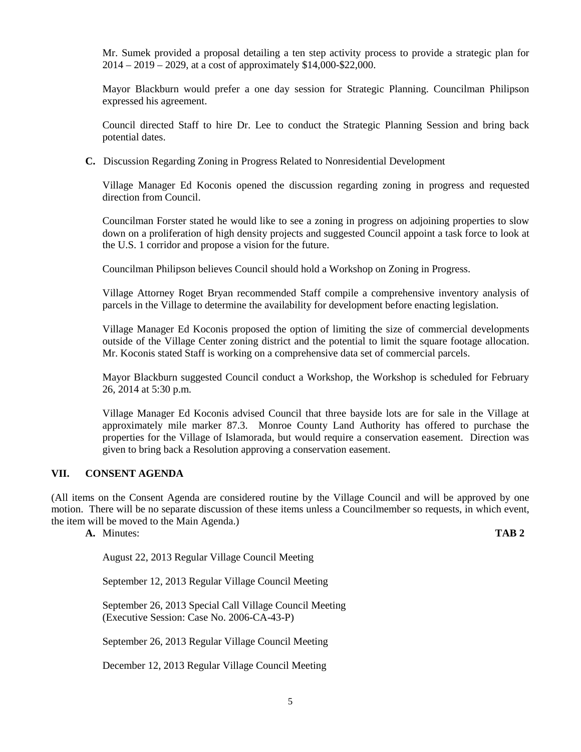Mr. Sumek provided a proposal detailing a ten step activity process to provide a strategic plan for 2014 – 2019 – 2029, at a cost of approximately \$14,000-\$22,000.

Mayor Blackburn would prefer a one day session for Strategic Planning. Councilman Philipson expressed his agreement.

Council directed Staff to hire Dr. Lee to conduct the Strategic Planning Session and bring back potential dates.

**C.** Discussion Regarding Zoning in Progress Related to Nonresidential Development

Village Manager Ed Koconis opened the discussion regarding zoning in progress and requested direction from Council.

Councilman Forster stated he would like to see a zoning in progress on adjoining properties to slow down on a proliferation of high density projects and suggested Council appoint a task force to look at the U.S. 1 corridor and propose a vision for the future.

Councilman Philipson believes Council should hold a Workshop on Zoning in Progress.

Village Attorney Roget Bryan recommended Staff compile a comprehensive inventory analysis of parcels in the Village to determine the availability for development before enacting legislation.

Village Manager Ed Koconis proposed the option of limiting the size of commercial developments outside of the Village Center zoning district and the potential to limit the square footage allocation. Mr. Koconis stated Staff is working on a comprehensive data set of commercial parcels.

Mayor Blackburn suggested Council conduct a Workshop, the Workshop is scheduled for February 26, 2014 at 5:30 p.m.

Village Manager Ed Koconis advised Council that three bayside lots are for sale in the Village at approximately mile marker 87.3. Monroe County Land Authority has offered to purchase the properties for the Village of Islamorada, but would require a conservation easement. Direction was given to bring back a Resolution approving a conservation easement.

## **VII. CONSENT AGENDA**

(All items on the Consent Agenda are considered routine by the Village Council and will be approved by one motion. There will be no separate discussion of these items unless a Councilmember so requests, in which event, the item will be moved to the Main Agenda.)

**A.** Minutes: **TAB 2**

August 22, 2013 Regular Village Council Meeting

September 12, 2013 Regular Village Council Meeting

September 26, 2013 Special Call Village Council Meeting (Executive Session: Case No. 2006-CA-43-P)

September 26, 2013 Regular Village Council Meeting

December 12, 2013 Regular Village Council Meeting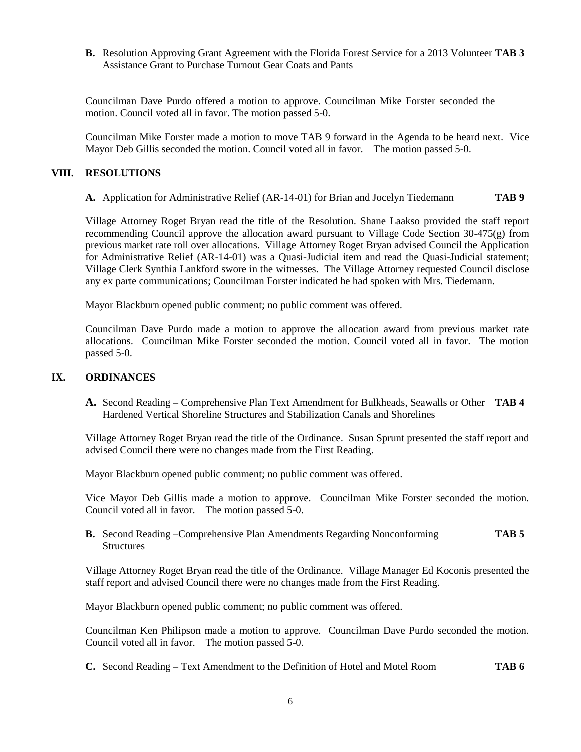**B.** Resolution Approving Grant Agreement with the Florida Forest Service for a 2013 Volunteer **TAB 3** Assistance Grant to Purchase Turnout Gear Coats and Pants

Councilman Dave Purdo offered a motion to approve. Councilman Mike Forster seconded the motion. Council voted all in favor. The motion passed 5-0.

Councilman Mike Forster made a motion to move TAB 9 forward in the Agenda to be heard next. Vice Mayor Deb Gillis seconded the motion. Council voted all in favor. The motion passed 5-0.

#### **VIII. RESOLUTIONS**

**A.** Application for Administrative Relief (AR-14-01) for Brian and Jocelyn Tiedemann **TAB 9**

Village Attorney Roget Bryan read the title of the Resolution. Shane Laakso provided the staff report recommending Council approve the allocation award pursuant to Village Code Section 30-475(g) from previous market rate roll over allocations. Village Attorney Roget Bryan advised Council the Application for Administrative Relief (AR-14-01) was a Quasi-Judicial item and read the Quasi-Judicial statement; Village Clerk Synthia Lankford swore in the witnesses. The Village Attorney requested Council disclose any ex parte communications; Councilman Forster indicated he had spoken with Mrs. Tiedemann.

Mayor Blackburn opened public comment; no public comment was offered.

Councilman Dave Purdo made a motion to approve the allocation award from previous market rate allocations. Councilman Mike Forster seconded the motion. Council voted all in favor. The motion passed 5-0.

#### **IX. ORDINANCES**

**A.** Second Reading – Comprehensive Plan Text Amendment for Bulkheads, Seawalls or Other **TAB 4** Hardened Vertical Shoreline Structures and Stabilization Canals and Shorelines

Village Attorney Roget Bryan read the title of the Ordinance. Susan Sprunt presented the staff report and advised Council there were no changes made from the First Reading.

Mayor Blackburn opened public comment; no public comment was offered.

Vice Mayor Deb Gillis made a motion to approve. Councilman Mike Forster seconded the motion. Council voted all in favor. The motion passed 5-0.

**B.** Second Reading –Comprehensive Plan Amendments Regarding Nonconforming **TAB 5 Structures** 

Village Attorney Roget Bryan read the title of the Ordinance. Village Manager Ed Koconis presented the staff report and advised Council there were no changes made from the First Reading.

Mayor Blackburn opened public comment; no public comment was offered.

Councilman Ken Philipson made a motion to approve. Councilman Dave Purdo seconded the motion. Council voted all in favor. The motion passed 5-0.

**C.** Second Reading – Text Amendment to the Definition of Hotel and Motel Room **TAB 6**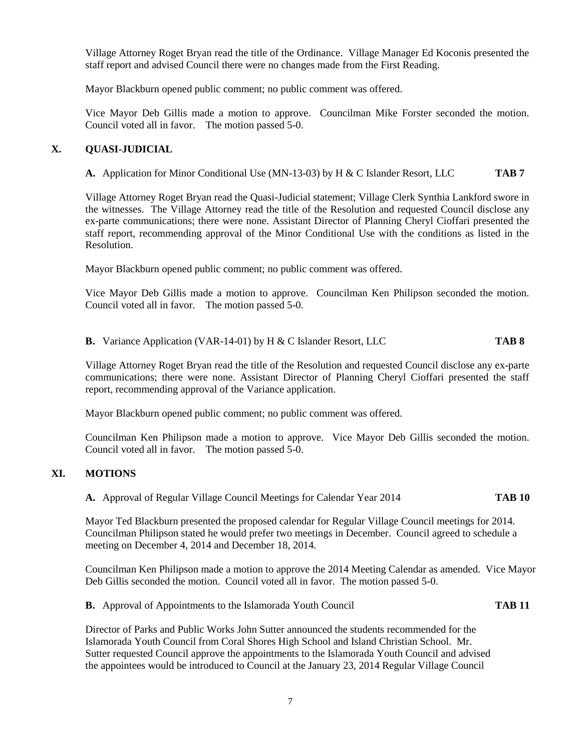Village Attorney Roget Bryan read the title of the Ordinance. Village Manager Ed Koconis presented the staff report and advised Council there were no changes made from the First Reading.

Mayor Blackburn opened public comment; no public comment was offered.

Vice Mayor Deb Gillis made a motion to approve. Councilman Mike Forster seconded the motion. Council voted all in favor. The motion passed 5-0.

# **X. QUASI-JUDICIAL**

**A.** Application for Minor Conditional Use (MN-13-03) by H & C Islander Resort, LLC **TAB 7**

Village Attorney Roget Bryan read the Quasi-Judicial statement; Village Clerk Synthia Lankford swore in the witnesses. The Village Attorney read the title of the Resolution and requested Council disclose any ex-parte communications; there were none. Assistant Director of Planning Cheryl Cioffari presented the staff report, recommending approval of the Minor Conditional Use with the conditions as listed in the Resolution.

Mayor Blackburn opened public comment; no public comment was offered.

Vice Mayor Deb Gillis made a motion to approve. Councilman Ken Philipson seconded the motion. Council voted all in favor. The motion passed 5-0.

**B.** Variance Application (VAR-14-01) by H & C Islander Resort, LLC **TAB 8**

Village Attorney Roget Bryan read the title of the Resolution and requested Council disclose any ex-parte communications; there were none. Assistant Director of Planning Cheryl Cioffari presented the staff report, recommending approval of the Variance application.

Mayor Blackburn opened public comment; no public comment was offered.

Councilman Ken Philipson made a motion to approve. Vice Mayor Deb Gillis seconded the motion. Council voted all in favor. The motion passed 5-0.

## **XI. MOTIONS**

**A.** Approval of Regular Village Council Meetings for Calendar Year 2014 **TAB 10**

Mayor Ted Blackburn presented the proposed calendar for Regular Village Council meetings for 2014. Councilman Philipson stated he would prefer two meetings in December. Council agreed to schedule a meeting on December 4, 2014 and December 18, 2014.

Councilman Ken Philipson made a motion to approve the 2014 Meeting Calendar as amended. Vice Mayor Deb Gillis seconded the motion. Council voted all in favor. The motion passed 5-0.

**B.** Approval of Appointments to the Islamorada Youth Council **TAB 11**

Director of Parks and Public Works John Sutter announced the students recommended for the Islamorada Youth Council from Coral Shores High School and Island Christian School. Mr. Sutter requested Council approve the appointments to the Islamorada Youth Council and advised the appointees would be introduced to Council at the January 23, 2014 Regular Village Council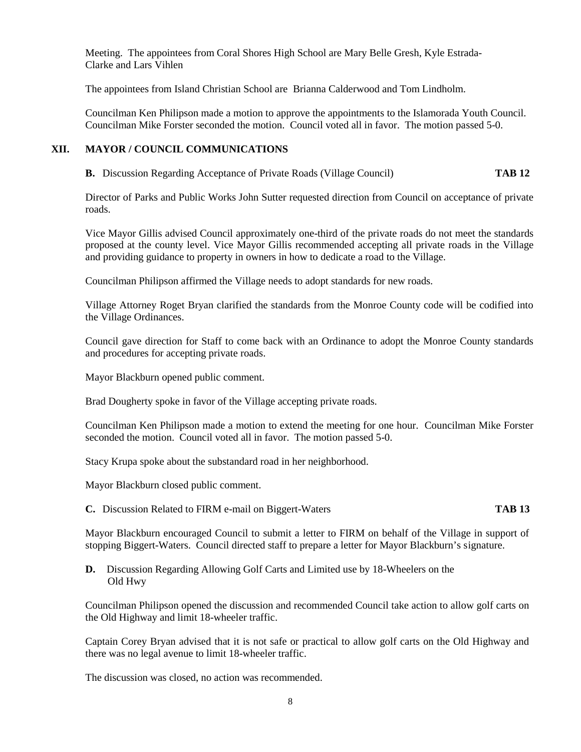Meeting. The appointees from Coral Shores High School are Mary Belle Gresh, Kyle Estrada- Clarke and Lars Vihlen

The appointees from Island Christian School are Brianna Calderwood and Tom Lindholm.

Councilman Ken Philipson made a motion to approve the appointments to the Islamorada Youth Council. Councilman Mike Forster seconded the motion. Council voted all in favor. The motion passed 5-0.

## **XII. MAYOR / COUNCIL COMMUNICATIONS**

**B.** Discussion Regarding Acceptance of Private Roads (Village Council) **TAB 12**

Director of Parks and Public Works John Sutter requested direction from Council on acceptance of private roads.

Vice Mayor Gillis advised Council approximately one-third of the private roads do not meet the standards proposed at the county level. Vice Mayor Gillis recommended accepting all private roads in the Village and providing guidance to property in owners in how to dedicate a road to the Village.

Councilman Philipson affirmed the Village needs to adopt standards for new roads.

Village Attorney Roget Bryan clarified the standards from the Monroe County code will be codified into the Village Ordinances.

Council gave direction for Staff to come back with an Ordinance to adopt the Monroe County standards and procedures for accepting private roads.

Mayor Blackburn opened public comment.

Brad Dougherty spoke in favor of the Village accepting private roads.

Councilman Ken Philipson made a motion to extend the meeting for one hour. Councilman Mike Forster seconded the motion. Council voted all in favor. The motion passed 5-0.

Stacy Krupa spoke about the substandard road in her neighborhood.

Mayor Blackburn closed public comment.

**C.** Discussion Related to FIRM e-mail on Biggert-Waters **TAB 13**

Mayor Blackburn encouraged Council to submit a letter to FIRM on behalf of the Village in support of stopping Biggert-Waters. Council directed staff to prepare a letter for Mayor Blackburn's signature.

**D.** Discussion Regarding Allowing Golf Carts and Limited use by 18-Wheelers on the Old Hwy

Councilman Philipson opened the discussion and recommended Council take action to allow golf carts on the Old Highway and limit 18-wheeler traffic.

Captain Corey Bryan advised that it is not safe or practical to allow golf carts on the Old Highway and there was no legal avenue to limit 18-wheeler traffic.

The discussion was closed, no action was recommended.